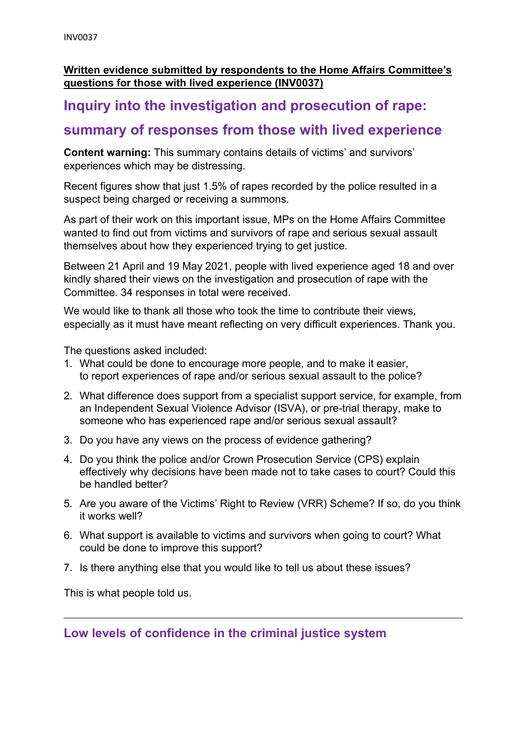#### **Written evidence submitted by respondents to the Home Affairs Committee's questions for those with lived experience (INV0037)**

## **Inquiry into the investigation and prosecution of rape:**

# **summary of responses from those with lived experience**

**Content warning:** This summary contains details of victims' and survivors' experiences which may be distressing.

Recent figures show that just 1.5% of rapes recorded by the police resulted in a suspect being charged or receiving a summons.

As part of their work on this important issue, MPs on the Home Affairs Committee wanted to find out from victims and survivors of rape and serious sexual assault themselves about how they experienced trying to get justice.

Between 21 April and 19 May 2021, people with lived experience aged 18 and over kindly shared their views on the investigation and prosecution of rape with the Committee. 34 responses in total were received.

We would like to thank all those who took the time to contribute their views, especially as it must have meant reflecting on very difficult experiences. Thank you.

The questions asked included:

- 1. What could be done to encourage more people, and to make it easier, to report experiences of rape and/or serious sexual assault to the police?
- 2. What difference does support from a specialist support service, for example, from an Independent Sexual Violence Advisor (ISVA), or pre-trial therapy, make to someone who has experienced rape and/or serious sexual assault?
- 3. Do you have any views on the process of evidence gathering?
- 4. Do you think the police and/or Crown Prosecution Service (CPS) explain effectively why decisions have been made not to take cases to court? Could this be handled better?
- 5. Are you aware of the Victims' Right to Review (VRR) Scheme? If so, do you think it works well?
- 6. What support is available to victims and survivors when going to court? What could be done to improve this support?
- 7. Is there anything else that you would like to tell us about these issues?

This is what people told us.

**Low levels of confidence in the criminal justice system**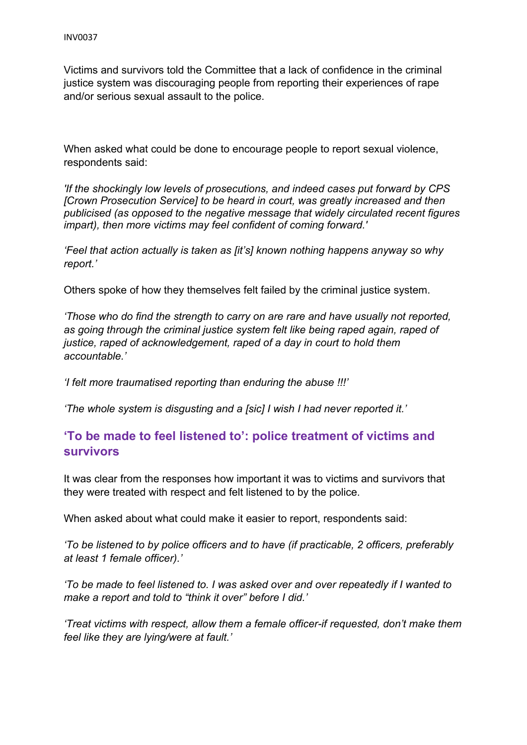Victims and survivors told the Committee that a lack of confidence in the criminal justice system was discouraging people from reporting their experiences of rape and/or serious sexual assault to the police.

When asked what could be done to encourage people to report sexual violence, respondents said:

*'If the shockingly low levels of prosecutions, and indeed cases put forward by CPS [Crown Prosecution Service] to be heard in court, was greatly increased and then publicised (as opposed to the negative message that widely circulated recent figures impart), then more victims may feel confident of coming forward.'*

*'Feel that action actually is taken as [it's] known nothing happens anyway so why report.'*

Others spoke of how they themselves felt failed by the criminal justice system.

*'Those who do find the strength to carry on are rare and have usually not reported, as going through the criminal justice system felt like being raped again, raped of justice, raped of acknowledgement, raped of a day in court to hold them accountable.'*

*'I felt more traumatised reporting than enduring the abuse !!!'*

*'The whole system is disgusting and a [sic] I wish I had never reported it.'*

### **'To be made to feel listened to': police treatment of victims and survivors**

It was clear from the responses how important it was to victims and survivors that they were treated with respect and felt listened to by the police.

When asked about what could make it easier to report, respondents said:

*'To be listened to by police officers and to have (if practicable, 2 officers, preferably at least 1 female officer).'*

*'To be made to feel listened to. I was asked over and over repeatedly if I wanted to make a report and told to "think it over" before I did.'*

*'Treat victims with respect, allow them a female officer-if requested, don't make them feel like they are lying/were at fault.'*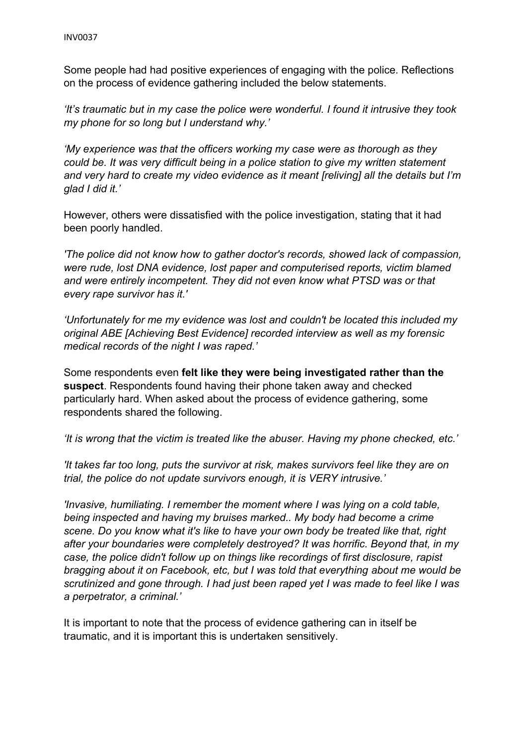Some people had had positive experiences of engaging with the police. Reflections on the process of evidence gathering included the below statements.

*'It's traumatic but in my case the police were wonderful. I found it intrusive they took my phone for so long but I understand why.'*

*'My experience was that the officers working my case were as thorough as they could be. It was very difficult being in a police station to give my written statement and very hard to create my video evidence as it meant [reliving] all the details but I'm glad I did it.'*

However, others were dissatisfied with the police investigation, stating that it had been poorly handled.

*'The police did not know how to gather doctor's records, showed lack of compassion, were rude, lost DNA evidence, lost paper and computerised reports, victim blamed and were entirely incompetent. They did not even know what PTSD was or that every rape survivor has it.'*

*'Unfortunately for me my evidence was lost and couldn't be located this included my original ABE [Achieving Best Evidence] recorded interview as well as my forensic medical records of the night I was raped.'*

Some respondents even **felt like they were being investigated rather than the suspect**. Respondents found having their phone taken away and checked particularly hard. When asked about the process of evidence gathering, some respondents shared the following.

*'It is wrong that the victim is treated like the abuser. Having my phone checked, etc.'*

*'It takes far too long, puts the survivor at risk, makes survivors feel like they are on trial, the police do not update survivors enough, it is VERY intrusive.'*

*'Invasive, humiliating. I remember the moment where I was lying on a cold table, being inspected and having my bruises marked.. My body had become a crime scene. Do you know what it's like to have your own body be treated like that, right after your boundaries were completely destroyed? It was horrific. Beyond that, in my case, the police didn't follow up on things like recordings of first disclosure, rapist bragging about it on Facebook, etc, but I was told that everything about me would be scrutinized and gone through. I had just been raped yet I was made to feel like I was a perpetrator, a criminal.'*

It is important to note that the process of evidence gathering can in itself be traumatic, and it is important this is undertaken sensitively.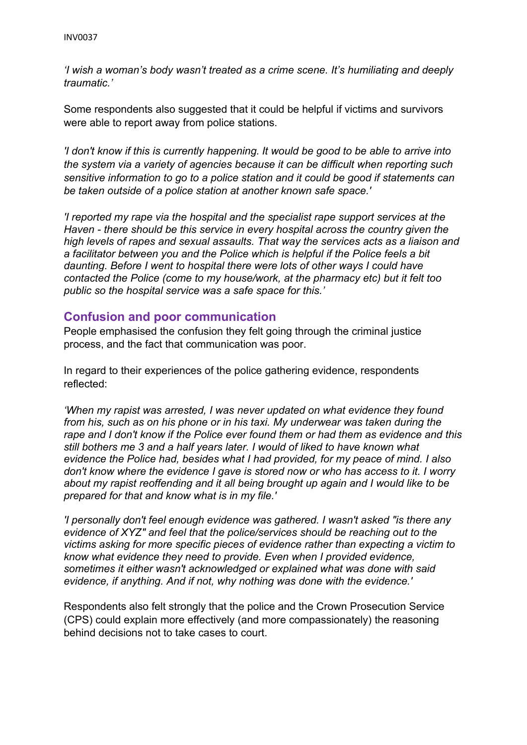*'I wish a woman's body wasn't treated as a crime scene. It's humiliating and deeply traumatic.'*

Some respondents also suggested that it could be helpful if victims and survivors were able to report away from police stations.

*'I don't know if this is currently happening. It would be good to be able to arrive into the system via a variety of agencies because it can be difficult when reporting such sensitive information to go to a police station and it could be good if statements can be taken outside of a police station at another known safe space.'*

*'I reported my rape via the hospital and the specialist rape support services at the Haven - there should be this service in every hospital across the country given the high levels of rapes and sexual assaults. That way the services acts as a liaison and a facilitator between you and the Police which is helpful if the Police feels a bit daunting. Before I went to hospital there were lots of other ways I could have contacted the Police (come to my house/work, at the pharmacy etc) but it felt too public so the hospital service was a safe space for this.'*

### **Confusion and poor communication**

People emphasised the confusion they felt going through the criminal justice process, and the fact that communication was poor.

In regard to their experiences of the police gathering evidence, respondents reflected:

*'When my rapist was arrested, I was never updated on what evidence they found from his, such as on his phone or in his taxi. My underwear was taken during the rape and I don't know if the Police ever found them or had them as evidence and this still bothers me 3 and a half years later. I would of liked to have known what evidence the Police had, besides what I had provided, for my peace of mind. I also don't know where the evidence I gave is stored now or who has access to it. I worry about my rapist reoffending and it all being brought up again and I would like to be prepared for that and know what is in my file.'*

*'I personally don't feel enough evidence was gathered. I wasn't asked "is there any evidence of XYZ" and feel that the police/services should be reaching out to the victims asking for more specific pieces of evidence rather than expecting a victim to know what evidence they need to provide. Even when I provided evidence, sometimes it either wasn't acknowledged or explained what was done with said evidence, if anything. And if not, why nothing was done with the evidence.'*

Respondents also felt strongly that the police and the Crown Prosecution Service (CPS) could explain more effectively (and more compassionately) the reasoning behind decisions not to take cases to court.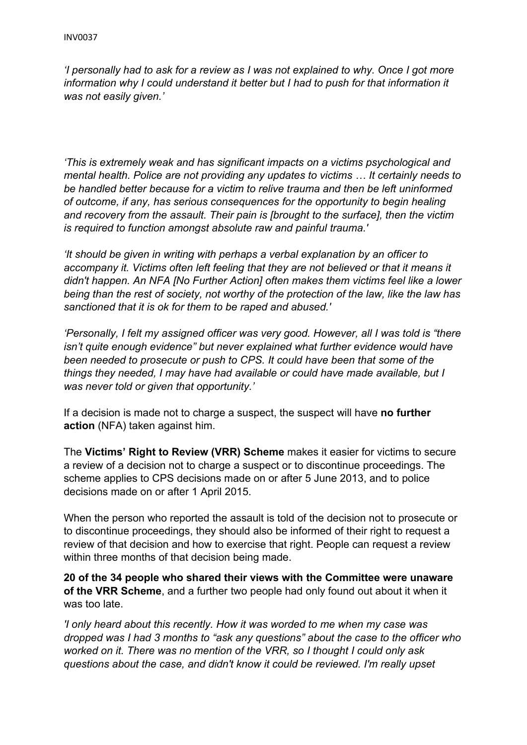*'I personally had to ask for a review as I was not explained to why. Once I got more information why I could understand it better but I had to push for that information it was not easily given.'*

*'This is extremely weak and has significant impacts on a victims psychological and mental health. Police are not providing any updates to victims … It certainly needs to be handled better because for a victim to relive trauma and then be left uninformed of outcome, if any, has serious consequences for the opportunity to begin healing and recovery from the assault. Their pain is [brought to the surface], then the victim is required to function amongst absolute raw and painful trauma.'*

*'It should be given in writing with perhaps a verbal explanation by an officer to accompany it. Victims often left feeling that they are not believed or that it means it didn't happen. An NFA [No Further Action] often makes them victims feel like a lower being than the rest of society, not worthy of the protection of the law, like the law has sanctioned that it is ok for them to be raped and abused.'*

*'Personally, I felt my assigned officer was very good. However, all I was told is "there isn't quite enough evidence" but never explained what further evidence would have been needed to prosecute or push to CPS. It could have been that some of the things they needed, I may have had available or could have made available, but I was never told or given that opportunity.'*

If a decision is made not to charge a suspect, the suspect will have **no further action** (NFA) taken against him.

The **Victims' Right to Review (VRR) Scheme** makes it easier for victims to secure a review of a decision not to charge a suspect or to discontinue proceedings. The scheme applies to CPS decisions made on or after 5 June 2013, and to police decisions made on or after 1 April 2015.

When the person who reported the assault is told of the decision not to prosecute or to discontinue proceedings, they should also be informed of their right to request a review of that decision and how to exercise that right. People can request a review within three months of that decision being made.

**20 of the 34 people who shared their views with the Committee were unaware of the VRR Scheme**, and a further two people had only found out about it when it was too late.

*'I only heard about this recently. How it was worded to me when my case was dropped was I had 3 months to "ask any questions" about the case to the officer who worked on it. There was no mention of the VRR, so I thought I could only ask questions about the case, and didn't know it could be reviewed. I'm really upset*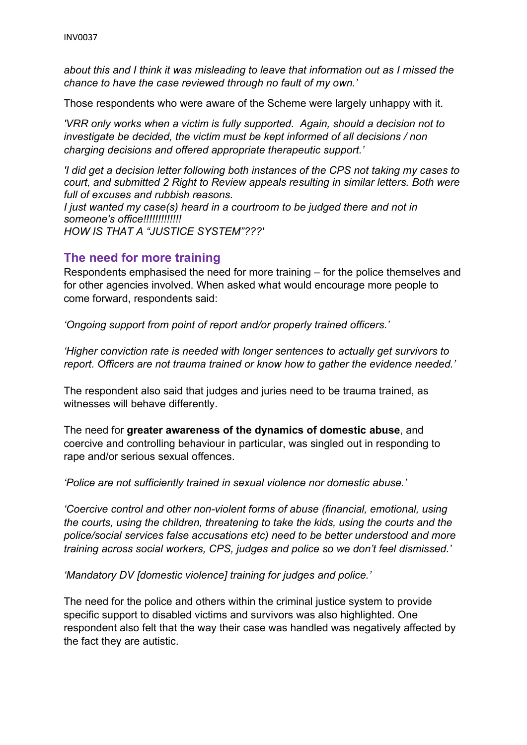*about this and I think it was misleading to leave that information out as I missed the chance to have the case reviewed through no fault of my own.'*

Those respondents who were aware of the Scheme were largely unhappy with it.

*'VRR only works when a victim is fully supported. Again, should a decision not to investigate be decided, the victim must be kept informed of all decisions / non charging decisions and offered appropriate therapeutic support.'*

*'I did get a decision letter following both instances of the CPS not taking my cases to court, and submitted 2 Right to Review appeals resulting in similar letters. Both were full of excuses and rubbish reasons.*

*I just wanted my case(s) heard in a courtroom to be judged there and not in someone's office!!!!!!!!!!!!! HOW IS THAT A "JUSTICE SYSTEM"???'*

### **The need for more training**

Respondents emphasised the need for more training – for the police themselves and for other agencies involved. When asked what would encourage more people to come forward, respondents said:

*'Ongoing support from point of report and/or properly trained officers.'*

*'Higher conviction rate is needed with longer sentences to actually get survivors to report. Officers are not trauma trained or know how to gather the evidence needed.'*

The respondent also said that judges and juries need to be trauma trained, as witnesses will behave differently.

The need for **greater awareness of the dynamics of domestic abuse**, and coercive and controlling behaviour in particular, was singled out in responding to rape and/or serious sexual offences.

*'Police are not sufficiently trained in sexual violence nor domestic abuse.'*

*'Coercive control and other non-violent forms of abuse (financial, emotional, using the courts, using the children, threatening to take the kids, using the courts and the police/social services false accusations etc) need to be better understood and more training across social workers, CPS, judges and police so we don't feel dismissed.'*

*'Mandatory DV [domestic violence] training for judges and police.'*

The need for the police and others within the criminal justice system to provide specific support to disabled victims and survivors was also highlighted. One respondent also felt that the way their case was handled was negatively affected by the fact they are autistic.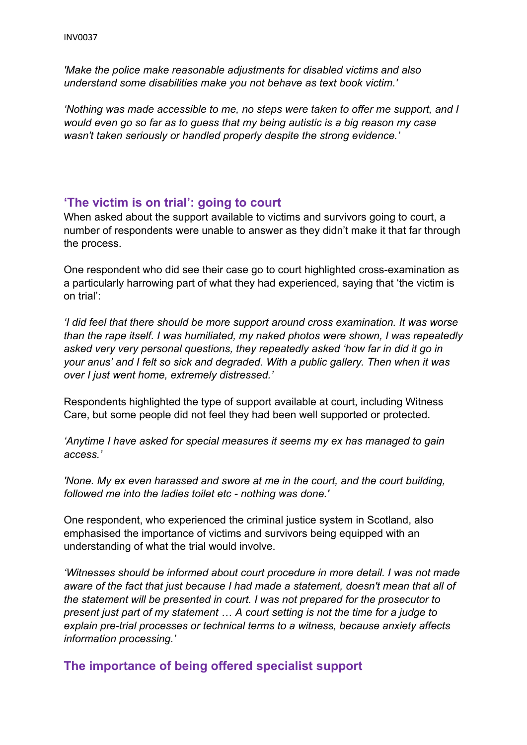*'Make the police make reasonable adjustments for disabled victims and also understand some disabilities make you not behave as text book victim.'*

*'Nothing was made accessible to me, no steps were taken to offer me support, and I would even go so far as to guess that my being autistic is a big reason my case wasn't taken seriously or handled properly despite the strong evidence.'*

#### **'The victim is on trial': going to court**

When asked about the support available to victims and survivors going to court, a number of respondents were unable to answer as they didn't make it that far through the process.

One respondent who did see their case go to court highlighted cross-examination as a particularly harrowing part of what they had experienced, saying that 'the victim is on trial':

*'I did feel that there should be more support around cross examination. It was worse than the rape itself. I was humiliated, my naked photos were shown, I was repeatedly asked very very personal questions, they repeatedly asked 'how far in did it go in your anus' and I felt so sick and degraded. With a public gallery. Then when it was over I just went home, extremely distressed.'*

Respondents highlighted the type of support available at court, including Witness Care, but some people did not feel they had been well supported or protected.

*'Anytime I have asked for special measures it seems my ex has managed to gain access.'*

*'None. My ex even harassed and swore at me in the court, and the court building, followed me into the ladies toilet etc - nothing was done.'*

One respondent, who experienced the criminal justice system in Scotland, also emphasised the importance of victims and survivors being equipped with an understanding of what the trial would involve.

*'Witnesses should be informed about court procedure in more detail. I was not made aware of the fact that just because I had made a statement, doesn't mean that all of the statement will be presented in court. I was not prepared for the prosecutor to present just part of my statement … A court setting is not the time for a judge to explain pre-trial processes or technical terms to a witness, because anxiety affects information processing.'*

#### **The importance of being offered specialist support**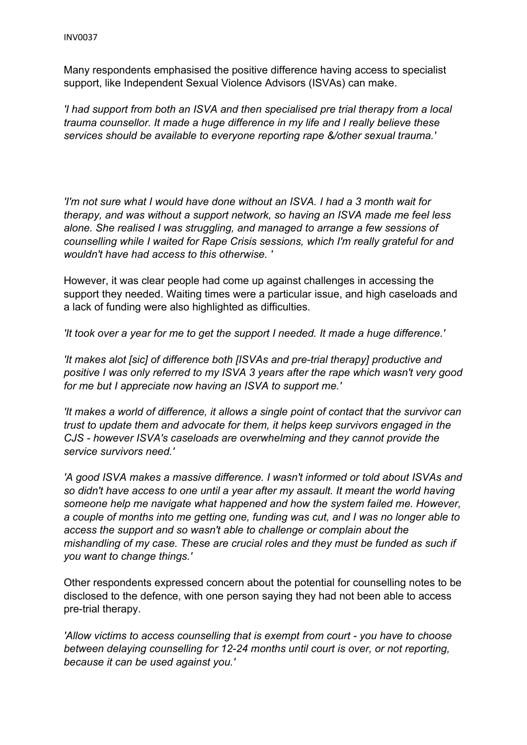Many respondents emphasised the positive difference having access to specialist support, like Independent Sexual Violence Advisors (ISVAs) can make.

*'I had support from both an ISVA and then specialised pre trial therapy from a local trauma counsellor. It made a huge difference in my life and I really believe these services should be available to everyone reporting rape &/other sexual trauma.'*

*'I'm not sure what I would have done without an ISVA. I had a 3 month wait for therapy, and was without a support network, so having an ISVA made me feel less alone. She realised I was struggling, and managed to arrange a few sessions of counselling while I waited for Rape Crisis sessions, which I'm really grateful for and wouldn't have had access to this otherwise. '*

However, it was clear people had come up against challenges in accessing the support they needed. Waiting times were a particular issue, and high caseloads and a lack of funding were also highlighted as difficulties.

*'It took over a year for me to get the support I needed. It made a huge difference.'*

*'It makes alot [sic] of difference both [ISVAs and pre-trial therapy] productive and positive I was only referred to my ISVA 3 years after the rape which wasn't very good for me but I appreciate now having an ISVA to support me.'*

*'It makes a world of difference, it allows a single point of contact that the survivor can trust to update them and advocate for them, it helps keep survivors engaged in the CJS - however ISVA's caseloads are overwhelming and they cannot provide the service survivors need.'*

*'A good ISVA makes a massive difference. I wasn't informed or told about ISVAs and so didn't have access to one until a year after my assault. It meant the world having someone help me navigate what happened and how the system failed me. However, a couple of months into me getting one, funding was cut, and I was no longer able to access the support and so wasn't able to challenge or complain about the mishandling of my case. These are crucial roles and they must be funded as such if you want to change things.'*

Other respondents expressed concern about the potential for counselling notes to be disclosed to the defence, with one person saying they had not been able to access pre-trial therapy.

*'Allow victims to access counselling that is exempt from court - you have to choose between delaying counselling for 12-24 months until court is over, or not reporting, because it can be used against you.'*